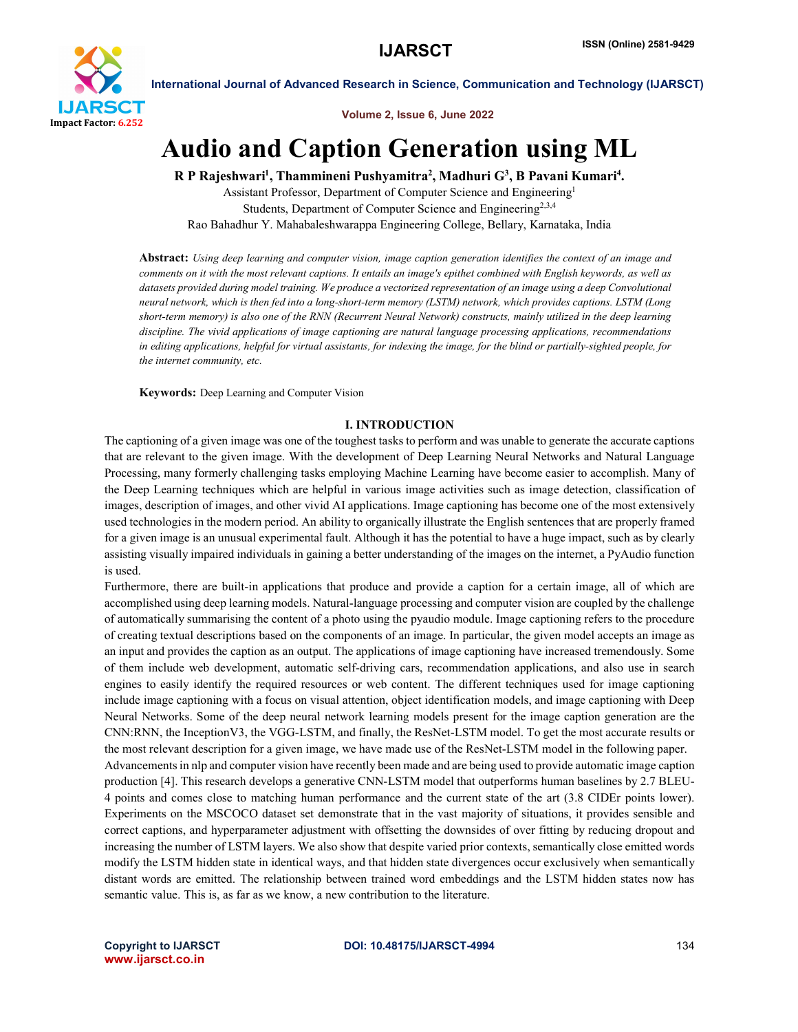

Volume 2, Issue 6, June 2022

# Audio and Caption Generation using ML

R P Rajeshwari<sup>1</sup>, Thammineni Pushyamitra<sup>2</sup>, Madhuri G<sup>3</sup>, B Pavani Kumari<sup>4</sup>.

Assistant Professor, Department of Computer Science and Engineering1 Students, Department of Computer Science and Engineering<sup>2,3,4</sup> Rao Bahadhur Y. Mahabaleshwarappa Engineering College, Bellary, Karnataka, India

Abstract: *Using deep learning and computer vision, image caption generation identifies the context of an image and comments on it with the most relevant captions. It entails an image's epithet combined with English keywords, as well as datasets provided during model training. We produce a vectorized representation of an image using a deep Convolutional neural network, which is then fed into a long-short-term memory (LSTM) network, which provides captions. LSTM (Long short-term memory) is also one of the RNN (Recurrent Neural Network) constructs, mainly utilized in the deep learning discipline. The vivid applications of image captioning are natural language processing applications, recommendations*  in editing applications, helpful for virtual assistants, for indexing the image, for the blind or partially-sighted people, for *the internet community, etc.*

Keywords: Deep Learning and Computer Vision

# I. INTRODUCTION

The captioning of a given image was one of the toughest tasks to perform and was unable to generate the accurate captions that are relevant to the given image. With the development of Deep Learning Neural Networks and Natural Language Processing, many formerly challenging tasks employing Machine Learning have become easier to accomplish. Many of the Deep Learning techniques which are helpful in various image activities such as image detection, classification of images, description of images, and other vivid AI applications. Image captioning has become one of the most extensively used technologies in the modern period. An ability to organically illustrate the English sentences that are properly framed for a given image is an unusual experimental fault. Although it has the potential to have a huge impact, such as by clearly assisting visually impaired individuals in gaining a better understanding of the images on the internet, a PyAudio function is used.

Furthermore, there are built-in applications that produce and provide a caption for a certain image, all of which are accomplished using deep learning models. Natural-language processing and computer vision are coupled by the challenge of automatically summarising the content of a photo using the pyaudio module. Image captioning refers to the procedure of creating textual descriptions based on the components of an image. In particular, the given model accepts an image as an input and provides the caption as an output. The applications of image captioning have increased tremendously. Some of them include web development, automatic self-driving cars, recommendation applications, and also use in search engines to easily identify the required resources or web content. The different techniques used for image captioning include image captioning with a focus on visual attention, object identification models, and image captioning with Deep Neural Networks. Some of the deep neural network learning models present for the image caption generation are the CNN:RNN, the InceptionV3, the VGG-LSTM, and finally, the ResNet-LSTM model. To get the most accurate results or the most relevant description for a given image, we have made use of the ResNet-LSTM model in the following paper. Advancements in nlp and computer vision have recently been made and are being used to provide automatic image caption production [4]. This research develops a generative CNN-LSTM model that outperforms human baselines by 2.7 BLEU-4 points and comes close to matching human performance and the current state of the art (3.8 CIDEr points lower). Experiments on the MSCOCO dataset set demonstrate that in the vast majority of situations, it provides sensible and correct captions, and hyperparameter adjustment with offsetting the downsides of over fitting by reducing dropout and increasing the number of LSTM layers. We also show that despite varied prior contexts, semantically close emitted words modify the LSTM hidden state in identical ways, and that hidden state divergences occur exclusively when semantically distant words are emitted. The relationship between trained word embeddings and the LSTM hidden states now has semantic value. This is, as far as we know, a new contribution to the literature.

www.ijarsct.co.in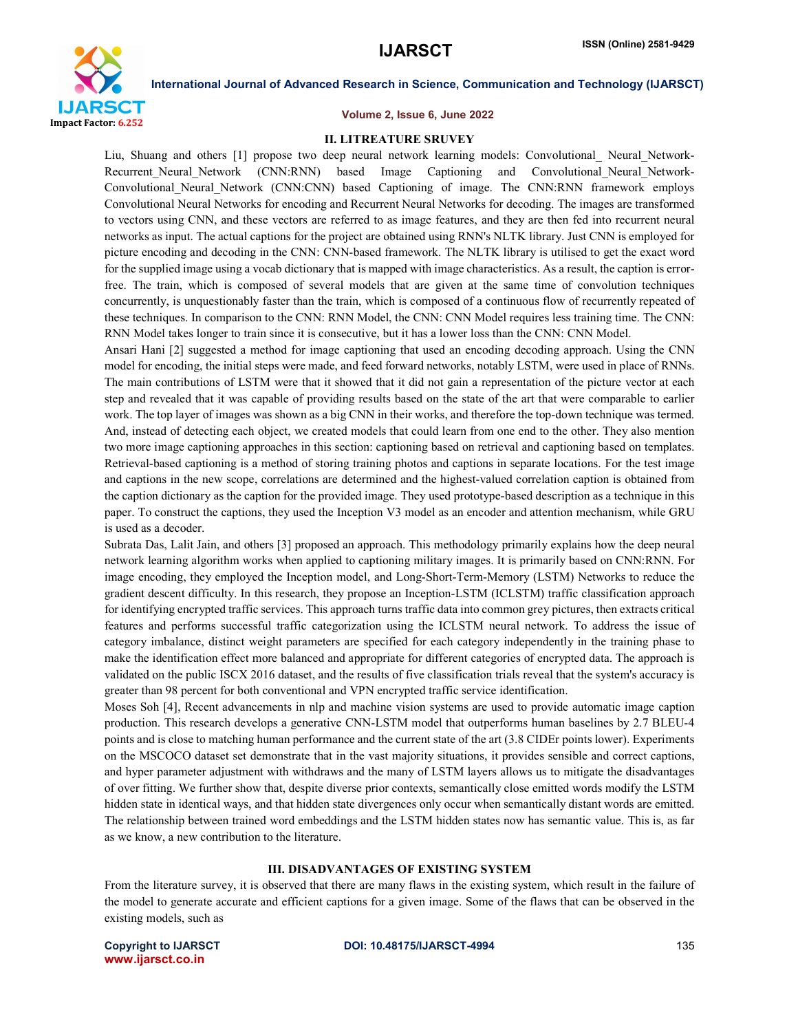

#### Volume 2, Issue 6, June 2022

#### II. LITREATURE SRUVEY

Liu, Shuang and others [1] propose two deep neural network learning models: Convolutional Neural Network-Recurrent Neural Network (CNN:RNN) based Image Captioning and Convolutional Neural Network-Convolutional\_Neural\_Network (CNN:CNN) based Captioning of image. The CNN:RNN framework employs Convolutional Neural Networks for encoding and Recurrent Neural Networks for decoding. The images are transformed to vectors using CNN, and these vectors are referred to as image features, and they are then fed into recurrent neural networks as input. The actual captions for the project are obtained using RNN's NLTK library. Just CNN is employed for picture encoding and decoding in the CNN: CNN-based framework. The NLTK library is utilised to get the exact word for the supplied image using a vocab dictionary that is mapped with image characteristics. As a result, the caption is errorfree. The train, which is composed of several models that are given at the same time of convolution techniques concurrently, is unquestionably faster than the train, which is composed of a continuous flow of recurrently repeated of these techniques. In comparison to the CNN: RNN Model, the CNN: CNN Model requires less training time. The CNN: RNN Model takes longer to train since it is consecutive, but it has a lower loss than the CNN: CNN Model.

Ansari Hani [2] suggested a method for image captioning that used an encoding decoding approach. Using the CNN model for encoding, the initial steps were made, and feed forward networks, notably LSTM, were used in place of RNNs. The main contributions of LSTM were that it showed that it did not gain a representation of the picture vector at each step and revealed that it was capable of providing results based on the state of the art that were comparable to earlier work. The top layer of images was shown as a big CNN in their works, and therefore the top-down technique was termed. And, instead of detecting each object, we created models that could learn from one end to the other. They also mention two more image captioning approaches in this section: captioning based on retrieval and captioning based on templates. Retrieval-based captioning is a method of storing training photos and captions in separate locations. For the test image and captions in the new scope, correlations are determined and the highest-valued correlation caption is obtained from the caption dictionary as the caption for the provided image. They used prototype-based description as a technique in this paper. To construct the captions, they used the Inception V3 model as an encoder and attention mechanism, while GRU is used as a decoder.

Subrata Das, Lalit Jain, and others [3] proposed an approach. This methodology primarily explains how the deep neural network learning algorithm works when applied to captioning military images. It is primarily based on CNN:RNN. For image encoding, they employed the Inception model, and Long-Short-Term-Memory (LSTM) Networks to reduce the gradient descent difficulty. In this research, they propose an Inception-LSTM (ICLSTM) traffic classification approach for identifying encrypted traffic services. This approach turns traffic data into common grey pictures, then extracts critical features and performs successful traffic categorization using the ICLSTM neural network. To address the issue of category imbalance, distinct weight parameters are specified for each category independently in the training phase to make the identification effect more balanced and appropriate for different categories of encrypted data. The approach is validated on the public ISCX 2016 dataset, and the results of five classification trials reveal that the system's accuracy is greater than 98 percent for both conventional and VPN encrypted traffic service identification.

Moses Soh [4], Recent advancements in nlp and machine vision systems are used to provide automatic image caption production. This research develops a generative CNN-LSTM model that outperforms human baselines by 2.7 BLEU-4 points and is close to matching human performance and the current state of the art (3.8 CIDEr points lower). Experiments on the MSCOCO dataset set demonstrate that in the vast majority situations, it provides sensible and correct captions, and hyper parameter adjustment with withdraws and the many of LSTM layers allows us to mitigate the disadvantages of over fitting. We further show that, despite diverse prior contexts, semantically close emitted words modify the LSTM hidden state in identical ways, and that hidden state divergences only occur when semantically distant words are emitted. The relationship between trained word embeddings and the LSTM hidden states now has semantic value. This is, as far as we know, a new contribution to the literature.

#### III. DISADVANTAGES OF EXISTING SYSTEM

From the literature survey, it is observed that there are many flaws in the existing system, which result in the failure of the model to generate accurate and efficient captions for a given image. Some of the flaws that can be observed in the existing models, such as

www.ijarsct.co.in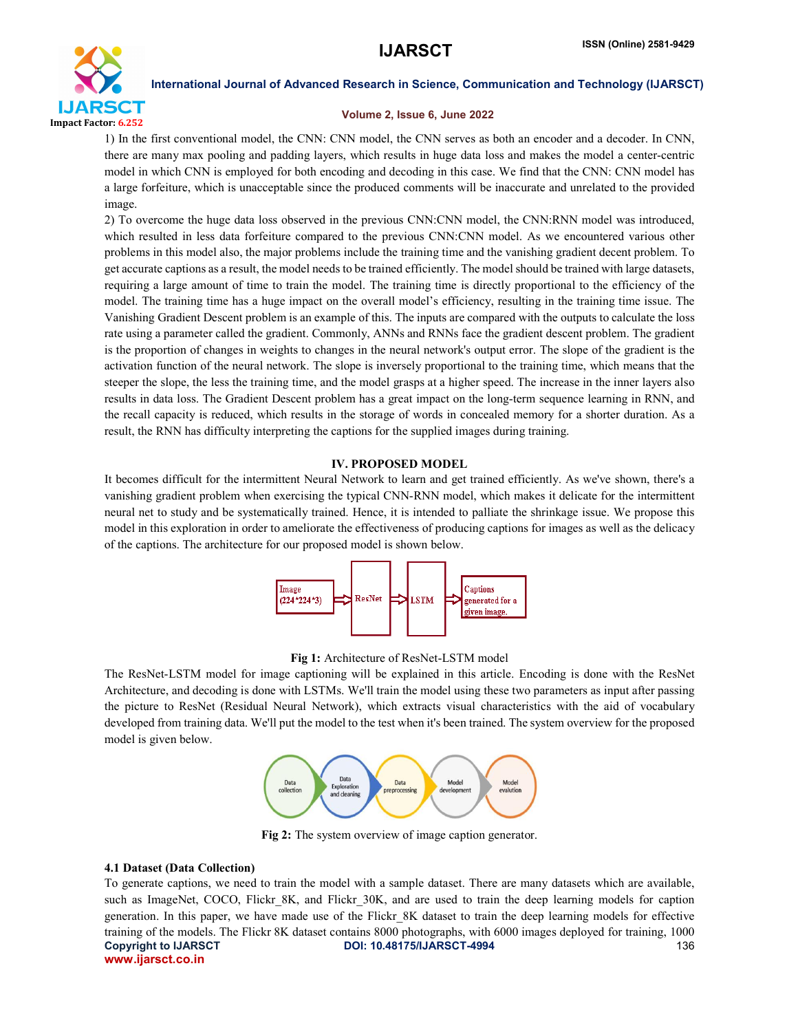

# Volume 2, Issue 6, June 2022

1) In the first conventional model, the CNN: CNN model, the CNN serves as both an encoder and a decoder. In CNN, there are many max pooling and padding layers, which results in huge data loss and makes the model a center-centric model in which CNN is employed for both encoding and decoding in this case. We find that the CNN: CNN model has a large forfeiture, which is unacceptable since the produced comments will be inaccurate and unrelated to the provided image.

2) To overcome the huge data loss observed in the previous CNN:CNN model, the CNN:RNN model was introduced, which resulted in less data forfeiture compared to the previous CNN:CNN model. As we encountered various other problems in this model also, the major problems include the training time and the vanishing gradient decent problem. To get accurate captions as a result, the model needs to be trained efficiently. The model should be trained with large datasets, requiring a large amount of time to train the model. The training time is directly proportional to the efficiency of the model. The training time has a huge impact on the overall model's efficiency, resulting in the training time issue. The Vanishing Gradient Descent problem is an example of this. The inputs are compared with the outputs to calculate the loss rate using a parameter called the gradient. Commonly, ANNs and RNNs face the gradient descent problem. The gradient is the proportion of changes in weights to changes in the neural network's output error. The slope of the gradient is the activation function of the neural network. The slope is inversely proportional to the training time, which means that the steeper the slope, the less the training time, and the model grasps at a higher speed. The increase in the inner layers also results in data loss. The Gradient Descent problem has a great impact on the long-term sequence learning in RNN, and the recall capacity is reduced, which results in the storage of words in concealed memory for a shorter duration. As a result, the RNN has difficulty interpreting the captions for the supplied images during training.

# IV. PROPOSED MODEL

It becomes difficult for the intermittent Neural Network to learn and get trained efficiently. As we've shown, there's a vanishing gradient problem when exercising the typical CNN-RNN model, which makes it delicate for the intermittent neural net to study and be systematically trained. Hence, it is intended to palliate the shrinkage issue. We propose this model in this exploration in order to ameliorate the effectiveness of producing captions for images as well as the delicacy of the captions. The architecture for our proposed model is shown below.



# Fig 1: Architecture of ResNet-LSTM model

The ResNet-LSTM model for image captioning will be explained in this article. Encoding is done with the ResNet Architecture, and decoding is done with LSTMs. We'll train the model using these two parameters as input after passing the picture to ResNet (Residual Neural Network), which extracts visual characteristics with the aid of vocabulary developed from training data. We'll put the model to the test when it's been trained. The system overview for the proposed model is given below.



Fig 2: The system overview of image caption generator.

## 4.1 Dataset (Data Collection)

Copyright to IJARSCT **DOI: 10.48175/IJARSCT-4994** 136 www.ijarsct.co.in To generate captions, we need to train the model with a sample dataset. There are many datasets which are available, such as ImageNet, COCO, Flickr 8K, and Flickr 30K, and are used to train the deep learning models for caption generation. In this paper, we have made use of the Flickr\_8K dataset to train the deep learning models for effective training of the models. The Flickr 8K dataset contains 8000 photographs, with 6000 images deployed for training, 1000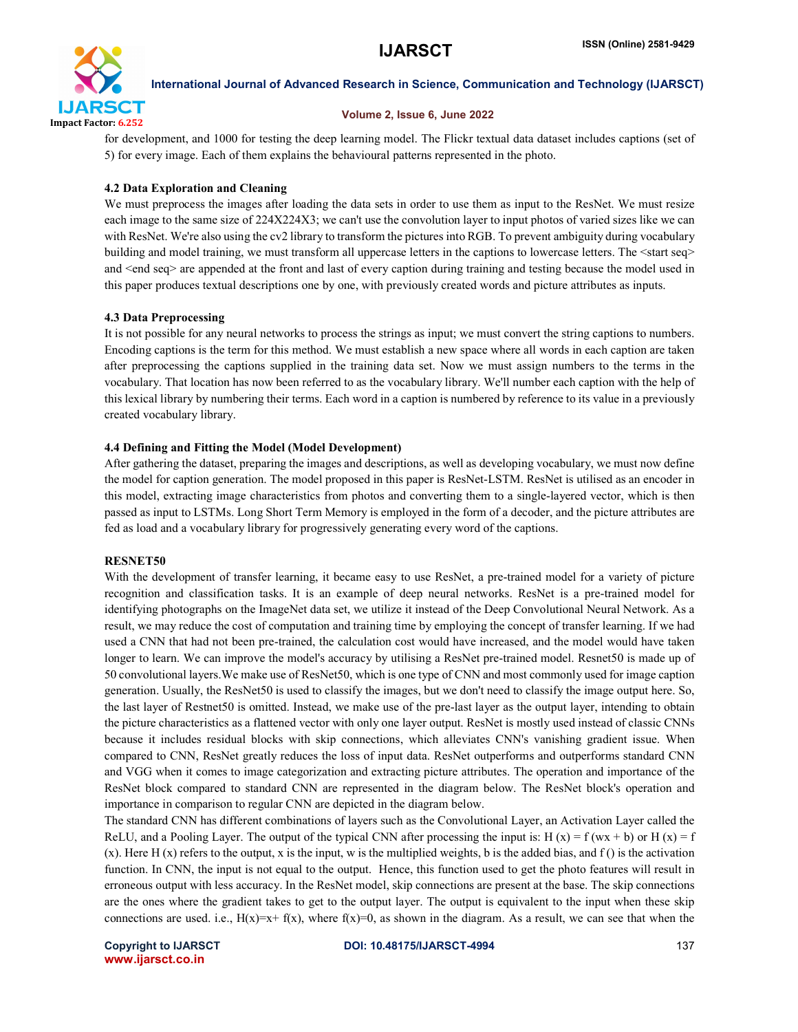

#### Volume 2, Issue 6, June 2022

for development, and 1000 for testing the deep learning model. The Flickr textual data dataset includes captions (set of 5) for every image. Each of them explains the behavioural patterns represented in the photo.

# 4.2 Data Exploration and Cleaning

We must preprocess the images after loading the data sets in order to use them as input to the ResNet. We must resize each image to the same size of 224X224X3; we can't use the convolution layer to input photos of varied sizes like we can with ResNet. We're also using the cv2 library to transform the pictures into RGB. To prevent ambiguity during vocabulary building and model training, we must transform all uppercase letters in the captions to lowercase letters. The  $\leq$ start seq $\geq$ and <end seq> are appended at the front and last of every caption during training and testing because the model used in this paper produces textual descriptions one by one, with previously created words and picture attributes as inputs.

# 4.3 Data Preprocessing

It is not possible for any neural networks to process the strings as input; we must convert the string captions to numbers. Encoding captions is the term for this method. We must establish a new space where all words in each caption are taken after preprocessing the captions supplied in the training data set. Now we must assign numbers to the terms in the vocabulary. That location has now been referred to as the vocabulary library. We'll number each caption with the help of this lexical library by numbering their terms. Each word in a caption is numbered by reference to its value in a previously created vocabulary library.

# 4.4 Defining and Fitting the Model (Model Development)

After gathering the dataset, preparing the images and descriptions, as well as developing vocabulary, we must now define the model for caption generation. The model proposed in this paper is ResNet-LSTM. ResNet is utilised as an encoder in this model, extracting image characteristics from photos and converting them to a single-layered vector, which is then passed as input to LSTMs. Long Short Term Memory is employed in the form of a decoder, and the picture attributes are fed as load and a vocabulary library for progressively generating every word of the captions.

## RESNET50

With the development of transfer learning, it became easy to use ResNet, a pre-trained model for a variety of picture recognition and classification tasks. It is an example of deep neural networks. ResNet is a pre-trained model for identifying photographs on the ImageNet data set, we utilize it instead of the Deep Convolutional Neural Network. As a result, we may reduce the cost of computation and training time by employing the concept of transfer learning. If we had used a CNN that had not been pre-trained, the calculation cost would have increased, and the model would have taken longer to learn. We can improve the model's accuracy by utilising a ResNet pre-trained model. Resnet50 is made up of 50 convolutional layers.We make use of ResNet50, which is one type of CNN and most commonly used for image caption generation. Usually, the ResNet50 is used to classify the images, but we don't need to classify the image output here. So, the last layer of Restnet50 is omitted. Instead, we make use of the pre-last layer as the output layer, intending to obtain the picture characteristics as a flattened vector with only one layer output. ResNet is mostly used instead of classic CNNs because it includes residual blocks with skip connections, which alleviates CNN's vanishing gradient issue. When compared to CNN, ResNet greatly reduces the loss of input data. ResNet outperforms and outperforms standard CNN and VGG when it comes to image categorization and extracting picture attributes. The operation and importance of the ResNet block compared to standard CNN are represented in the diagram below. The ResNet block's operation and importance in comparison to regular CNN are depicted in the diagram below.

The standard CNN has different combinations of layers such as the Convolutional Layer, an Activation Layer called the ReLU, and a Pooling Layer. The output of the typical CNN after processing the input is: H (x) = f (wx + b) or H (x) = f (x). Here H (x) refers to the output, x is the input, w is the multiplied weights, b is the added bias, and f () is the activation function. In CNN, the input is not equal to the output. Hence, this function used to get the photo features will result in erroneous output with less accuracy. In the ResNet model, skip connections are present at the base. The skip connections are the ones where the gradient takes to get to the output layer. The output is equivalent to the input when these skip connections are used. i.e.,  $H(x)=x+f(x)$ , where  $f(x)=0$ , as shown in the diagram. As a result, we can see that when the

www.ijarsct.co.in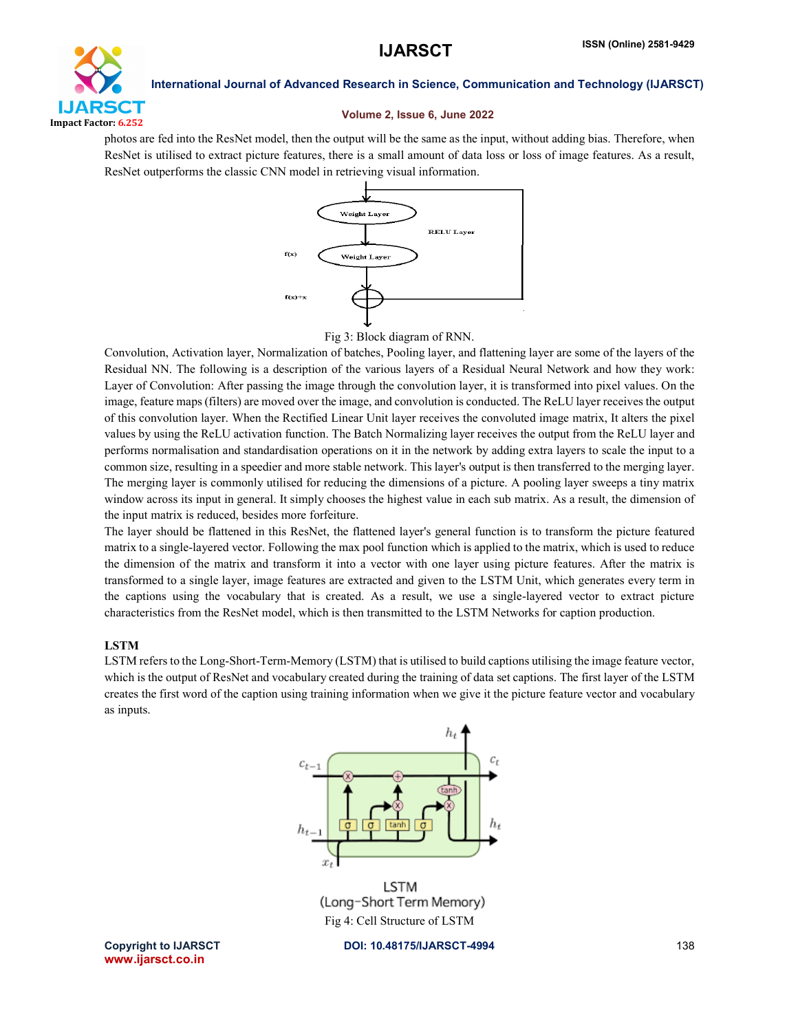

#### Volume 2, Issue 6, June 2022

photos are fed into the ResNet model, then the output will be the same as the input, without adding bias. Therefore, when ResNet is utilised to extract picture features, there is a small amount of data loss or loss of image features. As a result, ResNet outperforms the classic CNN model in retrieving visual information.



# Fig 3: Block diagram of RNN.

Convolution, Activation layer, Normalization of batches, Pooling layer, and flattening layer are some of the layers of the Residual NN. The following is a description of the various layers of a Residual Neural Network and how they work: Layer of Convolution: After passing the image through the convolution layer, it is transformed into pixel values. On the image, feature maps (filters) are moved over the image, and convolution is conducted. The ReLU layer receives the output of this convolution layer. When the Rectified Linear Unit layer receives the convoluted image matrix, It alters the pixel values by using the ReLU activation function. The Batch Normalizing layer receives the output from the ReLU layer and performs normalisation and standardisation operations on it in the network by adding extra layers to scale the input to a common size, resulting in a speedier and more stable network. This layer's output is then transferred to the merging layer. The merging layer is commonly utilised for reducing the dimensions of a picture. A pooling layer sweeps a tiny matrix window across its input in general. It simply chooses the highest value in each sub matrix. As a result, the dimension of the input matrix is reduced, besides more forfeiture.

The layer should be flattened in this ResNet, the flattened layer's general function is to transform the picture featured matrix to a single-layered vector. Following the max pool function which is applied to the matrix, which is used to reduce the dimension of the matrix and transform it into a vector with one layer using picture features. After the matrix is transformed to a single layer, image features are extracted and given to the LSTM Unit, which generates every term in the captions using the vocabulary that is created. As a result, we use a single-layered vector to extract picture characteristics from the ResNet model, which is then transmitted to the LSTM Networks for caption production.

# LSTM

LSTM refers to the Long-Short-Term-Memory (LSTM) that is utilised to build captions utilising the image feature vector, which is the output of ResNet and vocabulary created during the training of data set captions. The first layer of the LSTM creates the first word of the caption using training information when we give it the picture feature vector and vocabulary as inputs.



(Long-Short Term Memory) Fig 4: Cell Structure of LSTM

www.ijarsct.co.in

Copyright to IJARSCT **DOI: 10.48175/IJARSCT-4994** 138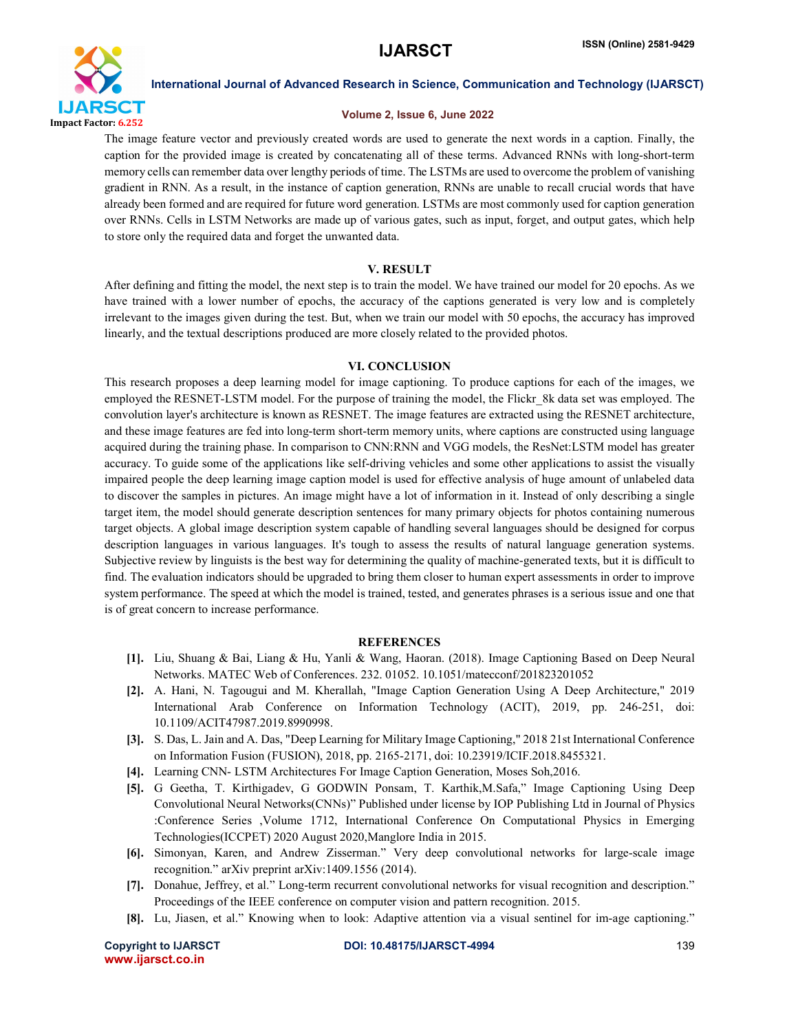

# Volume 2, Issue 6, June 2022

The image feature vector and previously created words are used to generate the next words in a caption. Finally, the caption for the provided image is created by concatenating all of these terms. Advanced RNNs with long-short-term memory cells can remember data over lengthy periods of time. The LSTMs are used to overcome the problem of vanishing gradient in RNN. As a result, in the instance of caption generation, RNNs are unable to recall crucial words that have already been formed and are required for future word generation. LSTMs are most commonly used for caption generation over RNNs. Cells in LSTM Networks are made up of various gates, such as input, forget, and output gates, which help to store only the required data and forget the unwanted data.

# V. RESULT

After defining and fitting the model, the next step is to train the model. We have trained our model for 20 epochs. As we have trained with a lower number of epochs, the accuracy of the captions generated is very low and is completely irrelevant to the images given during the test. But, when we train our model with 50 epochs, the accuracy has improved linearly, and the textual descriptions produced are more closely related to the provided photos.

# VI. CONCLUSION

This research proposes a deep learning model for image captioning. To produce captions for each of the images, we employed the RESNET-LSTM model. For the purpose of training the model, the Flickr\_8k data set was employed. The convolution layer's architecture is known as RESNET. The image features are extracted using the RESNET architecture, and these image features are fed into long-term short-term memory units, where captions are constructed using language acquired during the training phase. In comparison to CNN:RNN and VGG models, the ResNet:LSTM model has greater accuracy. To guide some of the applications like self-driving vehicles and some other applications to assist the visually impaired people the deep learning image caption model is used for effective analysis of huge amount of unlabeled data to discover the samples in pictures. An image might have a lot of information in it. Instead of only describing a single target item, the model should generate description sentences for many primary objects for photos containing numerous target objects. A global image description system capable of handling several languages should be designed for corpus description languages in various languages. It's tough to assess the results of natural language generation systems. Subjective review by linguists is the best way for determining the quality of machine-generated texts, but it is difficult to find. The evaluation indicators should be upgraded to bring them closer to human expert assessments in order to improve system performance. The speed at which the model is trained, tested, and generates phrases is a serious issue and one that is of great concern to increase performance.

## **REFERENCES**

- [1]. Liu, Shuang & Bai, Liang & Hu, Yanli & Wang, Haoran. (2018). Image Captioning Based on Deep Neural Networks. MATEC Web of Conferences. 232. 01052. 10.1051/matecconf/201823201052
- [2]. A. Hani, N. Tagougui and M. Kherallah, "Image Caption Generation Using A Deep Architecture," 2019 International Arab Conference on Information Technology (ACIT), 2019, pp. 246-251, doi: 10.1109/ACIT47987.2019.8990998.
- [3]. S. Das, L. Jain and A. Das, "Deep Learning for Military Image Captioning," 2018 21st International Conference on Information Fusion (FUSION), 2018, pp. 2165-2171, doi: 10.23919/ICIF.2018.8455321.
- [4]. Learning CNN- LSTM Architectures For Image Caption Generation, Moses Soh,2016.
- [5]. G Geetha, T. Kirthigadev, G GODWIN Ponsam, T. Karthik,M.Safa," Image Captioning Using Deep Convolutional Neural Networks(CNNs)" Published under license by IOP Publishing Ltd in Journal of Physics :Conference Series ,Volume 1712, International Conference On Computational Physics in Emerging Technologies(ICCPET) 2020 August 2020,Manglore India in 2015.
- [6]. Simonyan, Karen, and Andrew Zisserman." Very deep convolutional networks for large-scale image recognition." arXiv preprint arXiv:1409.1556 (2014).
- [7]. Donahue, Jeffrey, et al." Long-term recurrent convolutional networks for visual recognition and description." Proceedings of the IEEE conference on computer vision and pattern recognition. 2015.
- [8]. Lu, Jiasen, et al." Knowing when to look: Adaptive attention via a visual sentinel for im-age captioning."